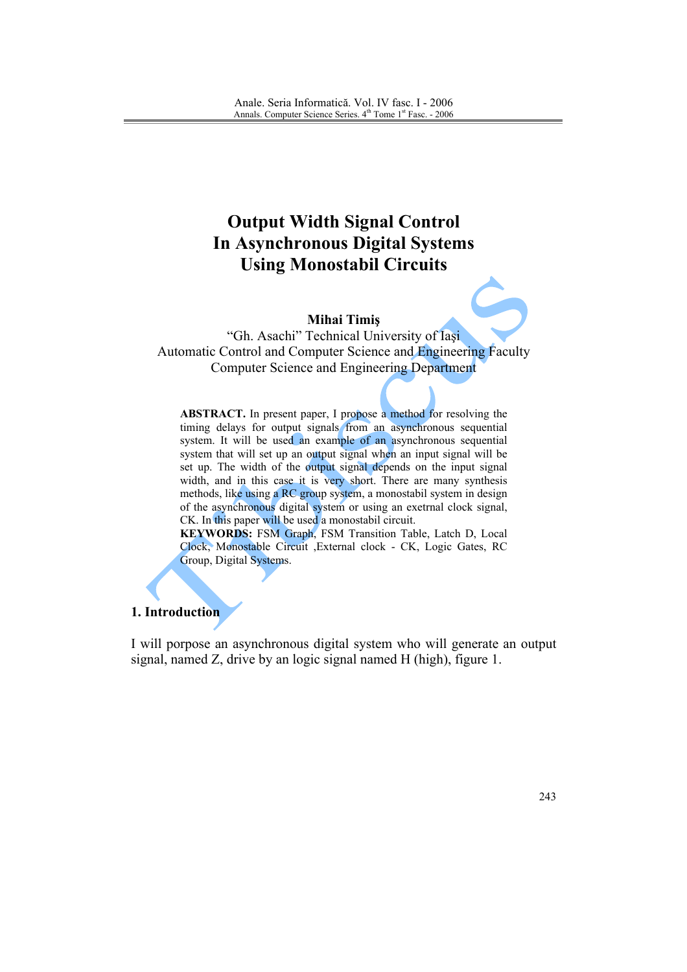# **Output Width Signal Control In Asynchronous Digital Systems Using Monostabil Circuits**

#### **Mihai Timiş**

"Gh. Asachi" Technical University of Iasi Automatic Control and Computer Science and Engineering Faculty **Computer Science and Engineering Department** 

**ABSTRACT.** In present paper, I propose a method for resolving the timing delays for output signals from an asynchronous sequential system. It will be used an example of an asynchronous sequential system that will set up an output signal when an input signal will be set up. The width of the output signal depends on the input signal width, and in this case it is very short. There are many synthesis methods, like using a RC group system, a monostabil system in design of the asynchronous digital system or using an exetrnal clock signal, CK. In this paper will be used a monostabil circuit.

KEYWORDS: FSM Graph, FSM Transition Table, Latch D, Local Clock, Monostable Circuit , External clock - CK, Logic Gates, RC Group, Digital Systems.

## 1. Introduction

I will porpose an asynchronous digital system who will generate an output signal, named Z, drive by an logic signal named H (high), figure 1.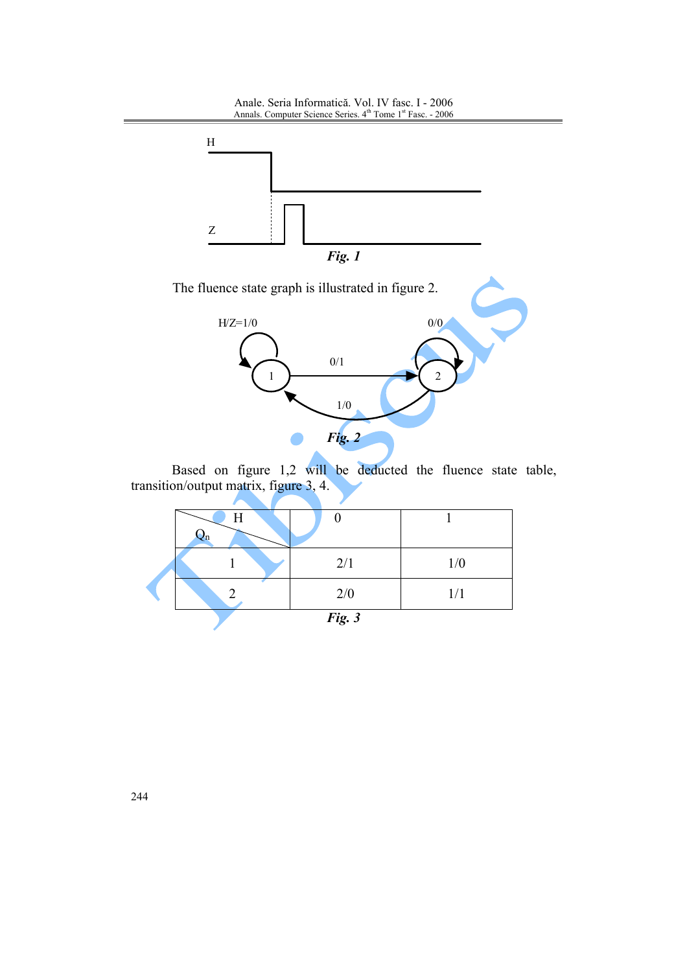Anale. Seria Informatică. Vol. IV fasc. I - 2006<br>Annals. Computer Science Series.  $4^{\text{th}}$  Tome  $1^{\text{st}}$  Fasc. - 2006





Based on figure 1,2 will be deducted the fluence state table, transition/output matrix, figure 3, 4.

|  | Η  |        |     |
|--|----|--------|-----|
|  | ۷n |        |     |
|  |    | 2/1    | 1/0 |
|  |    | 2/0    | 1/1 |
|  |    | Fig. 3 |     |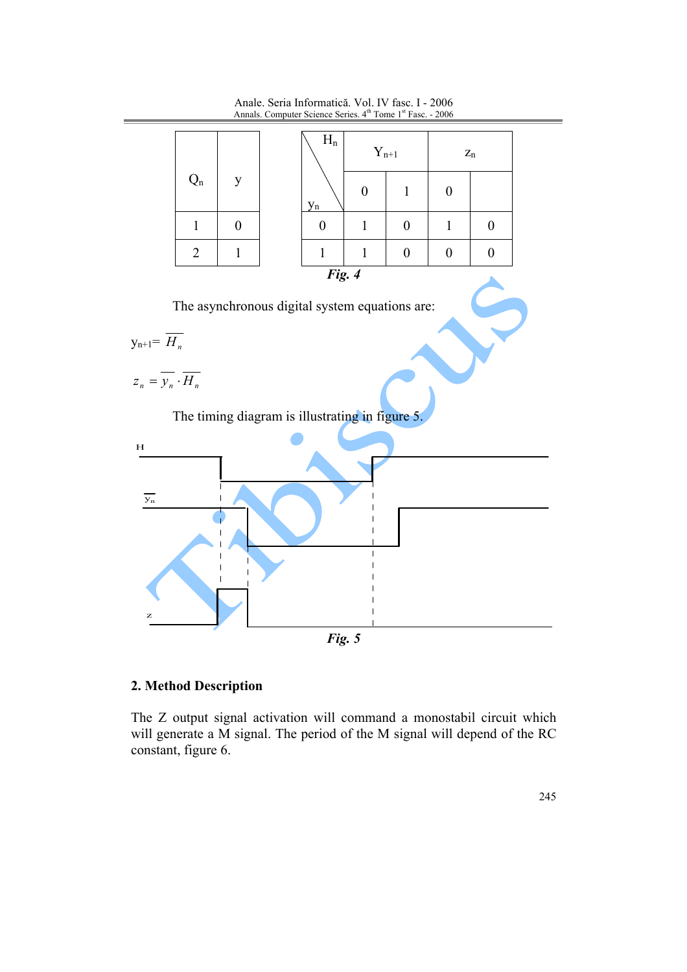

Anale. Seria Informatică. Vol. IV fasc. I - 2006 Annals. Computer Science Series. 4<sup>th</sup> Tome 1<sup>st</sup> Fasc. - 2006

## 2. Method Description

The Z output signal activation will command a monostabil circuit which will generate a M signal. The period of the M signal will depend of the RC constant, figure 6.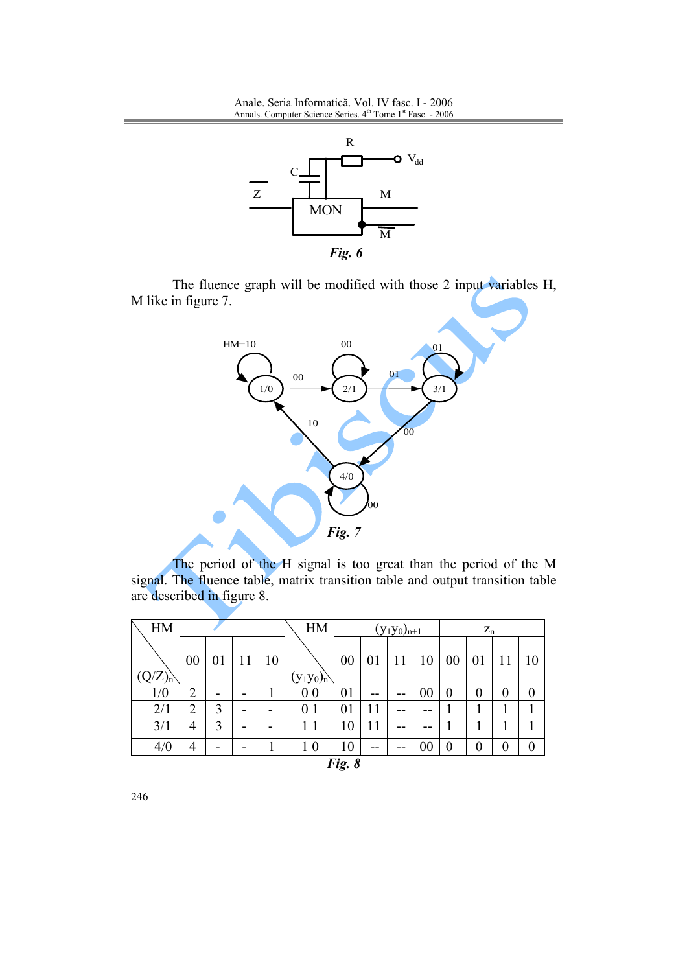Anale. Seria Informatică. Vol. IV fasc. I - 2006 Annals. Computer Science Series. 4<sup>th</sup> Tome 1<sup>st</sup> Fasc. - 2006



The fluence graph will be modified with those 2 input variables H, M like in figure 7.



The period of the H signal is too great than the period of the M signal. The fluence table, matrix transition table and output transition table are described in figure 8.

| HM                      |                |    |    | HM | $(y_1y_0)_{n+1}$ |    |    | $\mathbf{Z}_n$ |                |          |                |          |                  |
|-------------------------|----------------|----|----|----|------------------|----|----|----------------|----------------|----------|----------------|----------|------------------|
|                         | 00             | 01 | 11 | 10 |                  | 00 | 01 | 11             | 10             | 00       | 01             |          | 10               |
| $(Q/Z)_{n}^{\setminus}$ |                |    |    |    | $(y_1y_0)_n$     |    |    |                |                |          |                |          |                  |
| 1/0                     | $\overline{2}$ |    |    |    | 0 <sub>0</sub>   | 01 | -- | --             | 00             | $\theta$ | $\theta$       | $\theta$ | $\theta$         |
| 2/1                     | $\overline{2}$ | 3  |    |    | 0 <sub>1</sub>   | 01 | 11 |                |                |          |                |          |                  |
| 3/1                     | 4              | 3  |    |    |                  | 10 | 11 |                |                |          |                |          |                  |
| 4/0                     | 4              |    |    |    | 1 <sub>0</sub>   | 10 | -- | --             | 0 <sub>0</sub> | 0        | $\overline{0}$ | 0        | $\boldsymbol{0}$ |
| Fig. 8                  |                |    |    |    |                  |    |    |                |                |          |                |          |                  |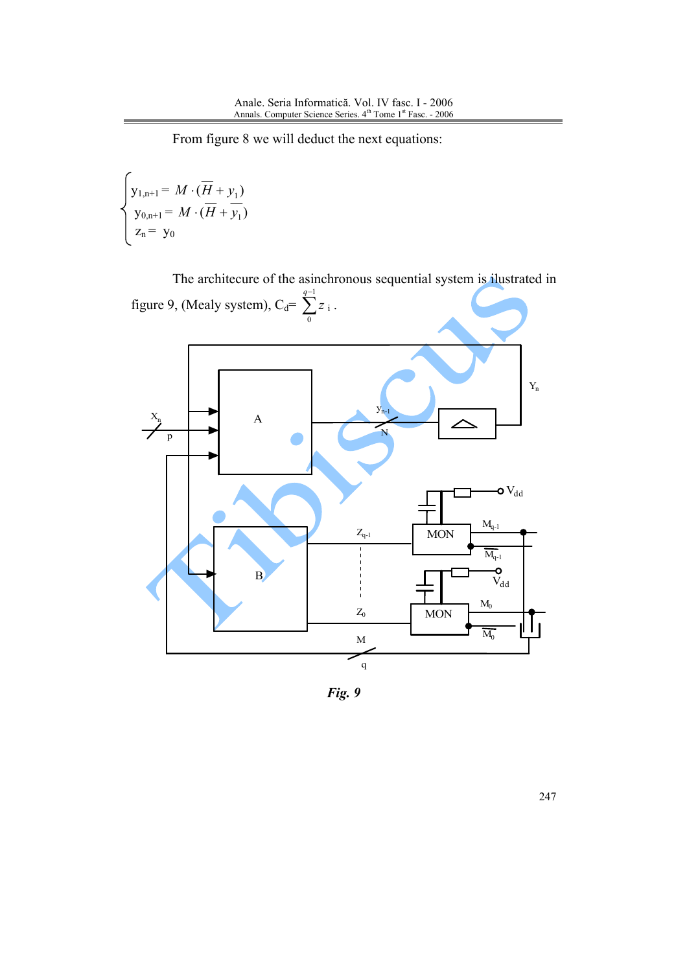From figure 8 we will deduct the next equations:

$$
\begin{cases}\ny_{1,n+1} = M \cdot (\overline{H} + y_1) \\
y_{0,n+1} = M \cdot (\overline{H} + \overline{y_1}) \\
z_n = y_0\n\end{cases}
$$



Fig. 9